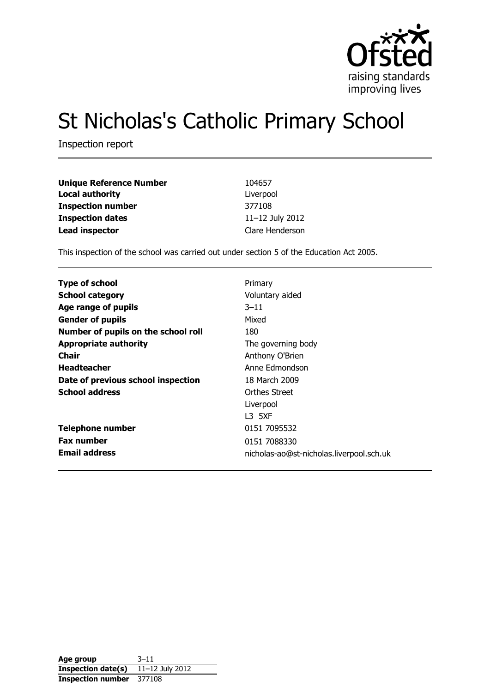

# St Nicholas's Catholic Primary School

Inspection report

| <b>Unique Reference Number</b> | 104657          |
|--------------------------------|-----------------|
| <b>Local authority</b>         | Liverpool       |
| <b>Inspection number</b>       | 377108          |
| <b>Inspection dates</b>        | 11-12 July 2012 |
| <b>Lead inspector</b>          | Clare Henderson |

This inspection of the school was carried out under section 5 of the Education Act 2005.

| <b>Type of school</b>               | Primary                                  |
|-------------------------------------|------------------------------------------|
| <b>School category</b>              | Voluntary aided                          |
| Age range of pupils                 | $3 - 11$                                 |
| <b>Gender of pupils</b>             | Mixed                                    |
| Number of pupils on the school roll | 180                                      |
| <b>Appropriate authority</b>        | The governing body                       |
| <b>Chair</b>                        | Anthony O'Brien                          |
| <b>Headteacher</b>                  | Anne Edmondson                           |
| Date of previous school inspection  | 18 March 2009                            |
| <b>School address</b>               | Orthes Street                            |
|                                     | Liverpool                                |
|                                     | L3 5XF                                   |
| <b>Telephone number</b>             | 0151 7095532                             |
| <b>Fax number</b>                   | 0151 7088330                             |
| <b>Email address</b>                | nicholas-ao@st-nicholas.liverpool.sch.uk |

| Age group                | $3 - 11$        |
|--------------------------|-----------------|
| Inspection date(s)       | 11-12 July 2012 |
| <b>Inspection number</b> | 377108          |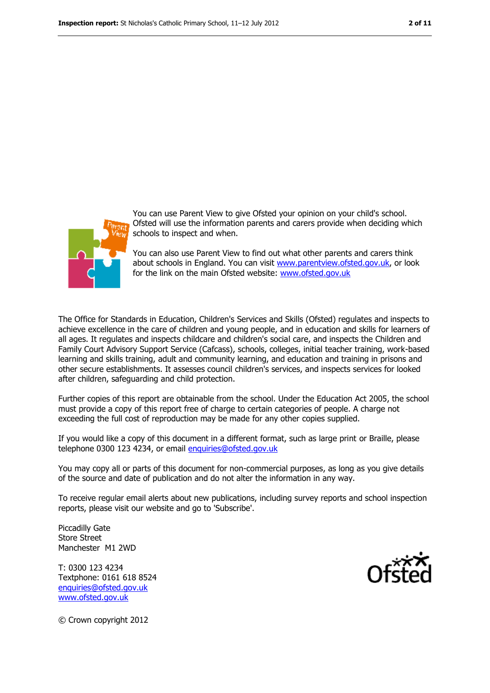

You can use Parent View to give Ofsted your opinion on your child's school. Ofsted will use the information parents and carers provide when deciding which schools to inspect and when.

You can also use Parent View to find out what other parents and carers think about schools in England. You can visit [www.parentview.ofsted.gov.uk,](file:///C:/Users/rcowley/AppData/Local/Local%20Settings/Temporary%20Internet%20Files/Local%20Settings/Temporary%20Internet%20Files/Content.IE5/WRIT8FKZ/www.parentview.ofsted.gov.uk) or look for the link on the main Ofsted website: [www.ofsted.gov.uk](file:///C:/Users/rcowley/AppData/Local/Local%20Settings/Temporary%20Internet%20Files/Local%20Settings/Temporary%20Internet%20Files/Content.IE5/WRIT8FKZ/www.ofsted.gov.uk)

The Office for Standards in Education, Children's Services and Skills (Ofsted) regulates and inspects to achieve excellence in the care of children and young people, and in education and skills for learners of all ages. It regulates and inspects childcare and children's social care, and inspects the Children and Family Court Advisory Support Service (Cafcass), schools, colleges, initial teacher training, work-based learning and skills training, adult and community learning, and education and training in prisons and other secure establishments. It assesses council children's services, and inspects services for looked after children, safeguarding and child protection.

Further copies of this report are obtainable from the school. Under the Education Act 2005, the school must provide a copy of this report free of charge to certain categories of people. A charge not exceeding the full cost of reproduction may be made for any other copies supplied.

If you would like a copy of this document in a different format, such as large print or Braille, please telephone 0300 123 4234, or email [enquiries@ofsted.gov.uk](mailto:enquiries@ofsted.gov.uk)

You may copy all or parts of this document for non-commercial purposes, as long as you give details of the source and date of publication and do not alter the information in any way.

To receive regular email alerts about new publications, including survey reports and school inspection reports, please visit our website and go to 'Subscribe'.

Piccadilly Gate Store Street Manchester M1 2WD

T: 0300 123 4234 Textphone: 0161 618 8524 [enquiries@ofsted.gov.uk](mailto:enquiries@ofsted.gov.uk) [www.ofsted.gov.uk](http://www.ofsted.gov.uk/)



© Crown copyright 2012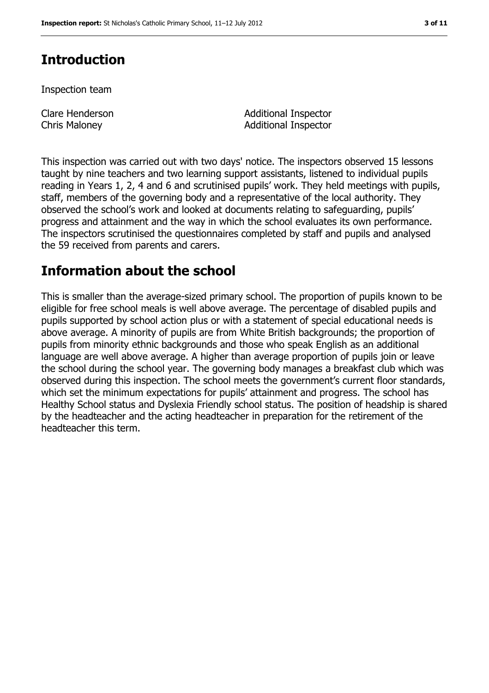### **Introduction**

Inspection team

Clare Henderson Chris Maloney

Additional Inspector Additional Inspector

This inspection was carried out with two days' notice. The inspectors observed 15 lessons taught by nine teachers and two learning support assistants, listened to individual pupils reading in Years 1, 2, 4 and 6 and scrutinised pupils' work. They held meetings with pupils, staff, members of the governing body and a representative of the local authority. They observed the school's work and looked at documents relating to safeguarding, pupils' progress and attainment and the way in which the school evaluates its own performance. The inspectors scrutinised the questionnaires completed by staff and pupils and analysed the 59 received from parents and carers.

### **Information about the school**

This is smaller than the average-sized primary school. The proportion of pupils known to be eligible for free school meals is well above average. The percentage of disabled pupils and pupils supported by school action plus or with a statement of special educational needs is above average. A minority of pupils are from White British backgrounds; the proportion of pupils from minority ethnic backgrounds and those who speak English as an additional language are well above average. A higher than average proportion of pupils join or leave the school during the school year. The governing body manages a breakfast club which was observed during this inspection. The school meets the government's current floor standards, which set the minimum expectations for pupils' attainment and progress. The school has Healthy School status and Dyslexia Friendly school status. The position of headship is shared by the headteacher and the acting headteacher in preparation for the retirement of the headteacher this term.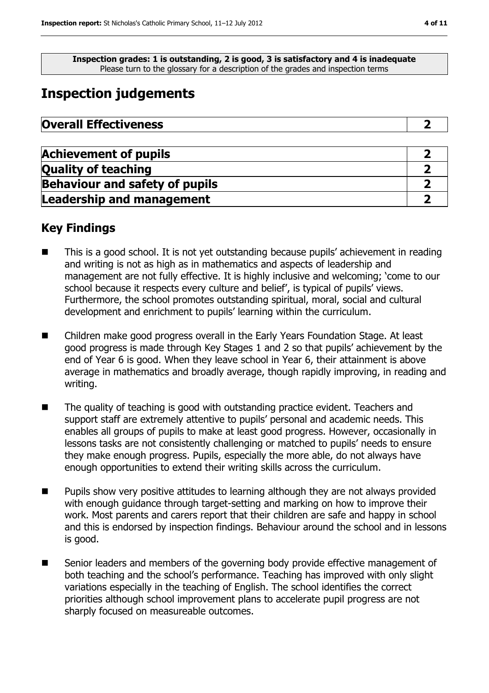**Inspection grades: 1 is outstanding, 2 is good, 3 is satisfactory and 4 is inadequate** Please turn to the glossary for a description of the grades and inspection terms

### **Inspection judgements**

| <b>Overall Effectiveness</b> |  |
|------------------------------|--|
|------------------------------|--|

| <b>Achievement of pupils</b>          |  |
|---------------------------------------|--|
| <b>Quality of teaching</b>            |  |
| <b>Behaviour and safety of pupils</b> |  |
| <b>Leadership and management</b>      |  |

#### **Key Findings**

- This is a good school. It is not yet outstanding because pupils' achievement in reading and writing is not as high as in mathematics and aspects of leadership and management are not fully effective. It is highly inclusive and welcoming; 'come to our school because it respects every culture and belief', is typical of pupils' views. Furthermore, the school promotes outstanding spiritual, moral, social and cultural development and enrichment to pupils' learning within the curriculum.
- Children make good progress overall in the Early Years Foundation Stage. At least good progress is made through Key Stages 1 and 2 so that pupils' achievement by the end of Year 6 is good. When they leave school in Year 6, their attainment is above average in mathematics and broadly average, though rapidly improving, in reading and writing.
- The quality of teaching is good with outstanding practice evident. Teachers and support staff are extremely attentive to pupils' personal and academic needs. This enables all groups of pupils to make at least good progress. However, occasionally in lessons tasks are not consistently challenging or matched to pupils' needs to ensure they make enough progress. Pupils, especially the more able, do not always have enough opportunities to extend their writing skills across the curriculum.
- Pupils show very positive attitudes to learning although they are not always provided with enough guidance through target-setting and marking on how to improve their work. Most parents and carers report that their children are safe and happy in school and this is endorsed by inspection findings. Behaviour around the school and in lessons is good.
- Senior leaders and members of the governing body provide effective management of both teaching and the school's performance. Teaching has improved with only slight variations especially in the teaching of English. The school identifies the correct priorities although school improvement plans to accelerate pupil progress are not sharply focused on measureable outcomes.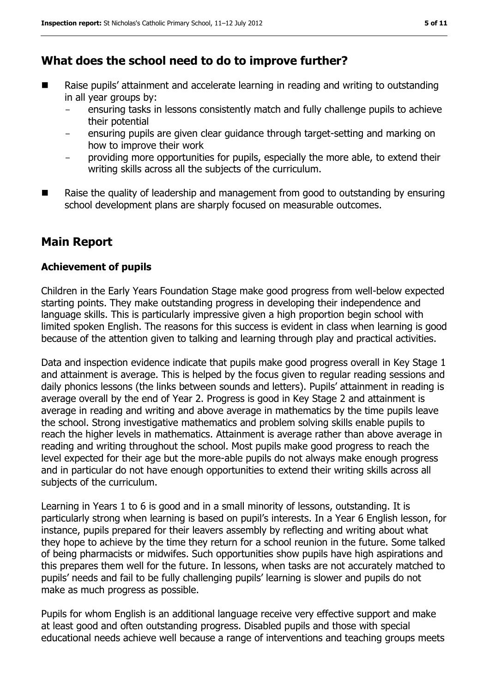#### **What does the school need to do to improve further?**

- Raise pupils' attainment and accelerate learning in reading and writing to outstanding in all year groups by:
	- ensuring tasks in lessons consistently match and fully challenge pupils to achieve their potential
	- ensuring pupils are given clear guidance through target-setting and marking on how to improve their work
	- providing more opportunities for pupils, especially the more able, to extend their writing skills across all the subjects of the curriculum.
- $\blacksquare$  Raise the quality of leadership and management from good to outstanding by ensuring school development plans are sharply focused on measurable outcomes.

#### **Main Report**

#### **Achievement of pupils**

Children in the Early Years Foundation Stage make good progress from well-below expected starting points. They make outstanding progress in developing their independence and language skills. This is particularly impressive given a high proportion begin school with limited spoken English. The reasons for this success is evident in class when learning is good because of the attention given to talking and learning through play and practical activities.

Data and inspection evidence indicate that pupils make good progress overall in Key Stage 1 and attainment is average. This is helped by the focus given to regular reading sessions and daily phonics lessons (the links between sounds and letters). Pupils' attainment in reading is average overall by the end of Year 2. Progress is good in Key Stage 2 and attainment is average in reading and writing and above average in mathematics by the time pupils leave the school. Strong investigative mathematics and problem solving skills enable pupils to reach the higher levels in mathematics. Attainment is average rather than above average in reading and writing throughout the school. Most pupils make good progress to reach the level expected for their age but the more-able pupils do not always make enough progress and in particular do not have enough opportunities to extend their writing skills across all subjects of the curriculum.

Learning in Years 1 to 6 is good and in a small minority of lessons, outstanding. It is particularly strong when learning is based on pupil's interests. In a Year 6 English lesson, for instance, pupils prepared for their leavers assembly by reflecting and writing about what they hope to achieve by the time they return for a school reunion in the future. Some talked of being pharmacists or midwifes. Such opportunities show pupils have high aspirations and this prepares them well for the future. In lessons, when tasks are not accurately matched to pupils' needs and fail to be fully challenging pupils' learning is slower and pupils do not make as much progress as possible.

Pupils for whom English is an additional language receive very effective support and make at least good and often outstanding progress. Disabled pupils and those with special educational needs achieve well because a range of interventions and teaching groups meets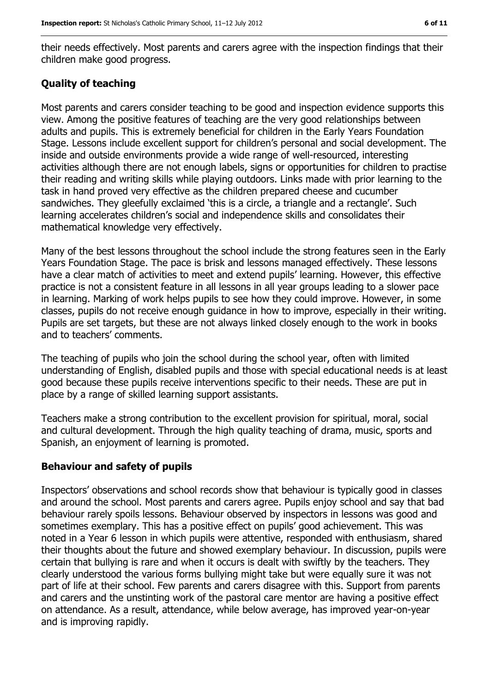their needs effectively. Most parents and carers agree with the inspection findings that their children make good progress.

#### **Quality of teaching**

Most parents and carers consider teaching to be good and inspection evidence supports this view. Among the positive features of teaching are the very good relationships between adults and pupils. This is extremely beneficial for children in the Early Years Foundation Stage. Lessons include excellent support for children's personal and social development. The inside and outside environments provide a wide range of well-resourced, interesting activities although there are not enough labels, signs or opportunities for children to practise their reading and writing skills while playing outdoors. Links made with prior learning to the task in hand proved very effective as the children prepared cheese and cucumber sandwiches. They gleefully exclaimed 'this is a circle, a triangle and a rectangle'. Such learning accelerates children's social and independence skills and consolidates their mathematical knowledge very effectively.

Many of the best lessons throughout the school include the strong features seen in the Early Years Foundation Stage. The pace is brisk and lessons managed effectively. These lessons have a clear match of activities to meet and extend pupils' learning. However, this effective practice is not a consistent feature in all lessons in all year groups leading to a slower pace in learning. Marking of work helps pupils to see how they could improve. However, in some classes, pupils do not receive enough guidance in how to improve, especially in their writing. Pupils are set targets, but these are not always linked closely enough to the work in books and to teachers' comments.

The teaching of pupils who join the school during the school year, often with limited understanding of English, disabled pupils and those with special educational needs is at least good because these pupils receive interventions specific to their needs. These are put in place by a range of skilled learning support assistants.

Teachers make a strong contribution to the excellent provision for spiritual, moral, social and cultural development. Through the high quality teaching of drama, music, sports and Spanish, an enjoyment of learning is promoted.

#### **Behaviour and safety of pupils**

Inspectors' observations and school records show that behaviour is typically good in classes and around the school. Most parents and carers agree. Pupils enjoy school and say that bad behaviour rarely spoils lessons. Behaviour observed by inspectors in lessons was good and sometimes exemplary. This has a positive effect on pupils' good achievement. This was noted in a Year 6 lesson in which pupils were attentive, responded with enthusiasm, shared their thoughts about the future and showed exemplary behaviour. In discussion, pupils were certain that bullying is rare and when it occurs is dealt with swiftly by the teachers. They clearly understood the various forms bullying might take but were equally sure it was not part of life at their school. Few parents and carers disagree with this. Support from parents and carers and the unstinting work of the pastoral care mentor are having a positive effect on attendance. As a result, attendance, while below average, has improved year-on-year and is improving rapidly.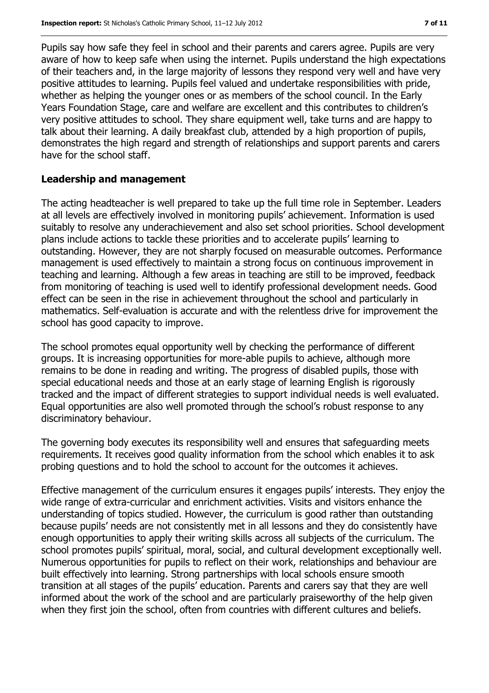Pupils say how safe they feel in school and their parents and carers agree. Pupils are very aware of how to keep safe when using the internet. Pupils understand the high expectations of their teachers and, in the large majority of lessons they respond very well and have very positive attitudes to learning. Pupils feel valued and undertake responsibilities with pride, whether as helping the younger ones or as members of the school council. In the Early Years Foundation Stage, care and welfare are excellent and this contributes to children's very positive attitudes to school. They share equipment well, take turns and are happy to talk about their learning. A daily breakfast club, attended by a high proportion of pupils, demonstrates the high regard and strength of relationships and support parents and carers have for the school staff.

#### **Leadership and management**

The acting headteacher is well prepared to take up the full time role in September. Leaders at all levels are effectively involved in monitoring pupils' achievement. Information is used suitably to resolve any underachievement and also set school priorities. School development plans include actions to tackle these priorities and to accelerate pupils' learning to outstanding. However, they are not sharply focused on measurable outcomes. Performance management is used effectively to maintain a strong focus on continuous improvement in teaching and learning. Although a few areas in teaching are still to be improved, feedback from monitoring of teaching is used well to identify professional development needs. Good effect can be seen in the rise in achievement throughout the school and particularly in mathematics. Self-evaluation is accurate and with the relentless drive for improvement the school has good capacity to improve.

The school promotes equal opportunity well by checking the performance of different groups. It is increasing opportunities for more-able pupils to achieve, although more remains to be done in reading and writing. The progress of disabled pupils, those with special educational needs and those at an early stage of learning English is rigorously tracked and the impact of different strategies to support individual needs is well evaluated. Equal opportunities are also well promoted through the school's robust response to any discriminatory behaviour.

The governing body executes its responsibility well and ensures that safeguarding meets requirements. It receives good quality information from the school which enables it to ask probing questions and to hold the school to account for the outcomes it achieves.

Effective management of the curriculum ensures it engages pupils' interests. They enjoy the wide range of extra-curricular and enrichment activities. Visits and visitors enhance the understanding of topics studied. However, the curriculum is good rather than outstanding because pupils' needs are not consistently met in all lessons and they do consistently have enough opportunities to apply their writing skills across all subjects of the curriculum. The school promotes pupils' spiritual, moral, social, and cultural development exceptionally well. Numerous opportunities for pupils to reflect on their work, relationships and behaviour are built effectively into learning. Strong partnerships with local schools ensure smooth transition at all stages of the pupils' education. Parents and carers say that they are well informed about the work of the school and are particularly praiseworthy of the help given when they first join the school, often from countries with different cultures and beliefs.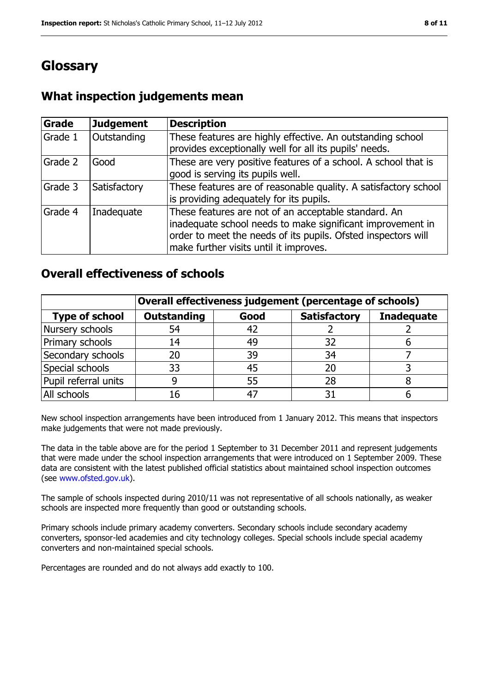### **Glossary**

### **What inspection judgements mean**

| Grade   | <b>Judgement</b> | <b>Description</b>                                                                                                                                                                                                            |
|---------|------------------|-------------------------------------------------------------------------------------------------------------------------------------------------------------------------------------------------------------------------------|
| Grade 1 | Outstanding      | These features are highly effective. An outstanding school<br>provides exceptionally well for all its pupils' needs.                                                                                                          |
| Grade 2 | Good             | These are very positive features of a school. A school that is<br>good is serving its pupils well.                                                                                                                            |
| Grade 3 | Satisfactory     | These features are of reasonable quality. A satisfactory school<br>is providing adequately for its pupils.                                                                                                                    |
| Grade 4 | Inadequate       | These features are not of an acceptable standard. An<br>inadequate school needs to make significant improvement in<br>order to meet the needs of its pupils. Ofsted inspectors will<br>make further visits until it improves. |

#### **Overall effectiveness of schools**

|                       | Overall effectiveness judgement (percentage of schools) |      |                     |                   |
|-----------------------|---------------------------------------------------------|------|---------------------|-------------------|
| <b>Type of school</b> | <b>Outstanding</b>                                      | Good | <b>Satisfactory</b> | <b>Inadequate</b> |
| Nursery schools       | 54                                                      | 42   |                     |                   |
| Primary schools       | 14                                                      | 49   | 32                  |                   |
| Secondary schools     | 20                                                      | 39   | 34                  |                   |
| Special schools       | 33                                                      | 45   | 20                  |                   |
| Pupil referral units  | 9                                                       | 55   | 28                  |                   |
| All schools           | 16                                                      | 4    |                     |                   |

New school inspection arrangements have been introduced from 1 January 2012. This means that inspectors make judgements that were not made previously.

The data in the table above are for the period 1 September to 31 December 2011 and represent judgements that were made under the school inspection arrangements that were introduced on 1 September 2009. These data are consistent with the latest published official statistics about maintained school inspection outcomes (see [www.ofsted.gov.uk\)](file:///C:/Users/rcowley/AppData/Local/Local%20Settings/Temporary%20Internet%20Files/Local%20Settings/Temporary%20Internet%20Files/Content.IE5/WRIT8FKZ/www.ofsted.gov.uk).

The sample of schools inspected during 2010/11 was not representative of all schools nationally, as weaker schools are inspected more frequently than good or outstanding schools.

Primary schools include primary academy converters. Secondary schools include secondary academy converters, sponsor-led academies and city technology colleges. Special schools include special academy converters and non-maintained special schools.

Percentages are rounded and do not always add exactly to 100.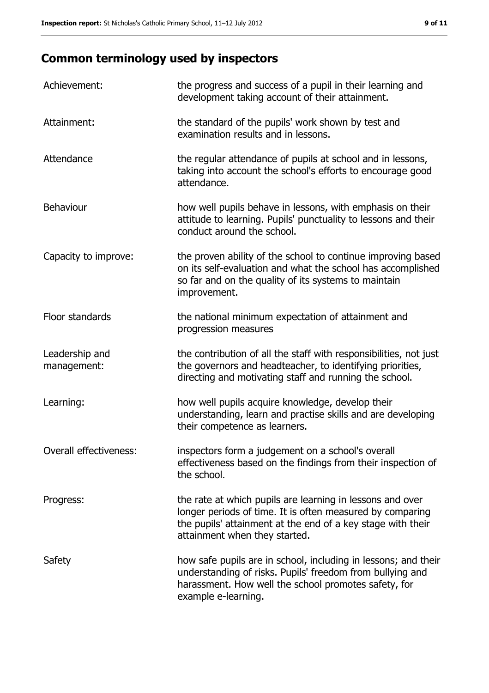## **Common terminology used by inspectors**

| Achievement:                  | the progress and success of a pupil in their learning and<br>development taking account of their attainment.                                                                                                           |
|-------------------------------|------------------------------------------------------------------------------------------------------------------------------------------------------------------------------------------------------------------------|
| Attainment:                   | the standard of the pupils' work shown by test and<br>examination results and in lessons.                                                                                                                              |
| Attendance                    | the regular attendance of pupils at school and in lessons,<br>taking into account the school's efforts to encourage good<br>attendance.                                                                                |
| <b>Behaviour</b>              | how well pupils behave in lessons, with emphasis on their<br>attitude to learning. Pupils' punctuality to lessons and their<br>conduct around the school.                                                              |
| Capacity to improve:          | the proven ability of the school to continue improving based<br>on its self-evaluation and what the school has accomplished<br>so far and on the quality of its systems to maintain<br>improvement.                    |
| Floor standards               | the national minimum expectation of attainment and<br>progression measures                                                                                                                                             |
| Leadership and<br>management: | the contribution of all the staff with responsibilities, not just<br>the governors and headteacher, to identifying priorities,<br>directing and motivating staff and running the school.                               |
| Learning:                     | how well pupils acquire knowledge, develop their<br>understanding, learn and practise skills and are developing<br>their competence as learners.                                                                       |
| Overall effectiveness:        | inspectors form a judgement on a school's overall<br>effectiveness based on the findings from their inspection of<br>the school.                                                                                       |
| Progress:                     | the rate at which pupils are learning in lessons and over<br>longer periods of time. It is often measured by comparing<br>the pupils' attainment at the end of a key stage with their<br>attainment when they started. |
| Safety                        | how safe pupils are in school, including in lessons; and their<br>understanding of risks. Pupils' freedom from bullying and<br>harassment. How well the school promotes safety, for<br>example e-learning.             |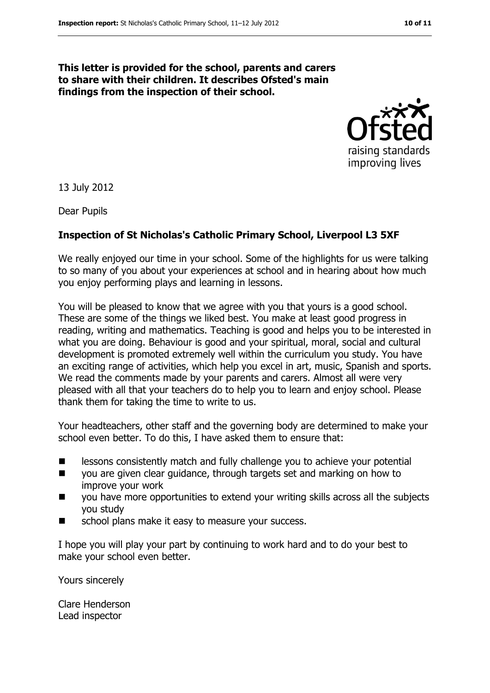#### **This letter is provided for the school, parents and carers to share with their children. It describes Ofsted's main findings from the inspection of their school.**



13 July 2012

Dear Pupils

#### **Inspection of St Nicholas's Catholic Primary School, Liverpool L3 5XF**

We really enjoyed our time in your school. Some of the highlights for us were talking to so many of you about your experiences at school and in hearing about how much you enjoy performing plays and learning in lessons.

You will be pleased to know that we agree with you that yours is a good school. These are some of the things we liked best. You make at least good progress in reading, writing and mathematics. Teaching is good and helps you to be interested in what you are doing. Behaviour is good and your spiritual, moral, social and cultural development is promoted extremely well within the curriculum you study. You have an exciting range of activities, which help you excel in art, music, Spanish and sports. We read the comments made by your parents and carers. Almost all were very pleased with all that your teachers do to help you to learn and enjoy school. Please thank them for taking the time to write to us.

Your headteachers, other staff and the governing body are determined to make your school even better. To do this, I have asked them to ensure that:

- **EXEC** lessons consistently match and fully challenge you to achieve your potential
- you are given clear guidance, through targets set and marking on how to improve your work
- you have more opportunities to extend your writing skills across all the subjects you study
- school plans make it easy to measure your success.

I hope you will play your part by continuing to work hard and to do your best to make your school even better.

Yours sincerely

Clare Henderson Lead inspector